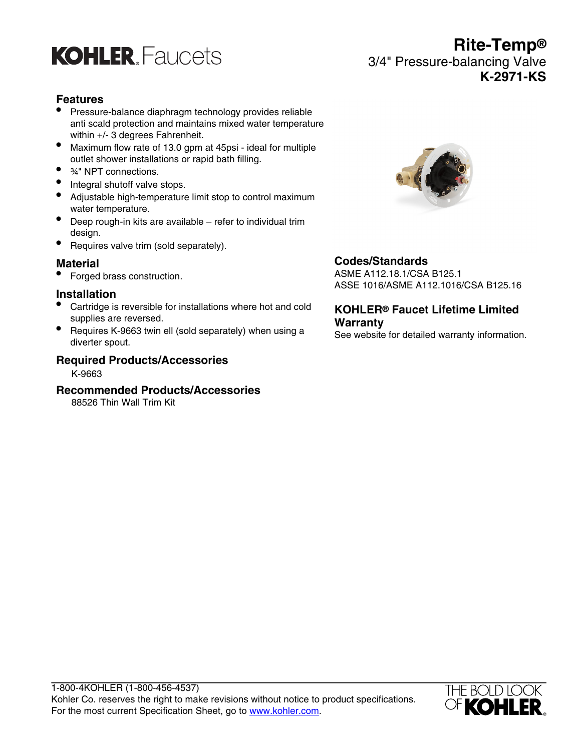

# **Features**

- Pressure-balance diaphragm technology provides reliable anti scald protection and maintains mixed water temperature within +/- 3 degrees Fahrenheit.
- Maximum flow rate of 13.0 gpm at 45psi ideal for multiple outlet shower installations or rapid bath filling.
- 3/4" NPT connections.
- Integral shutoff valve stops.
- Adjustable high-temperature limit stop to control maximum water temperature.
- Deep rough-in kits are available refer to individual trim design.
- Requires valve trim (sold separately).

#### **Material**

• Forged brass construction.

#### **Installation**

- Cartridge is reversible for installations where hot and cold supplies are reversed.
- Requires K-9663 twin ell (sold separately) when using a diverter spout.

#### **Required Products/Accessories**

K-9663

#### **Recommended Products/Accessories**

88526 Thin Wall Trim Kit



## **Codes/Standards**

ASME A112.18.1/CSA B125.1 ASSE 1016/ASME A112.1016/CSA B125.16

## **KOHLER® Faucet Lifetime Limited Warranty**

See website for detailed warranty information.



**Rite-Temp®** 3/4" Pressure-balancing Valve **K-2971-KS**